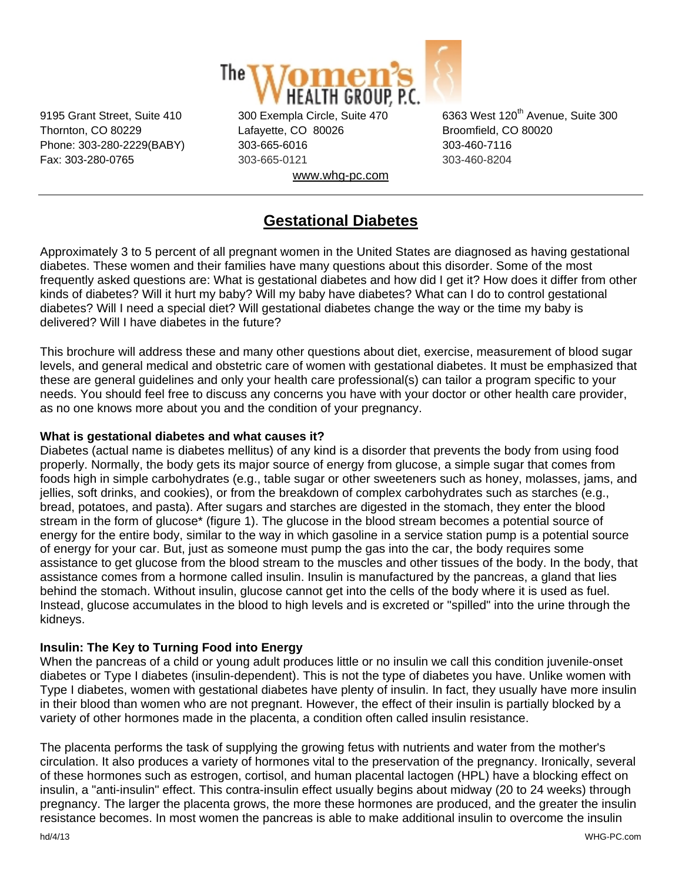

9195 Grant Street, Suite 410 300 Exempla Circle, Suite 470 6363 West 120<sup>th</sup> Avenue, Suite 300

## **Gestational Diabetes**

Approximately 3 to 5 percent of all pregnant women in the United States are diagnosed as having gestational diabetes. These women and their families have many questions about this disorder. Some of the most frequently asked questions are: What is gestational diabetes and how did I get it? How does it differ from other kinds of diabetes? Will it hurt my baby? Will my baby have diabetes? What can I do to control gestational diabetes? Will I need a special diet? Will gestational diabetes change the way or the time my baby is delivered? Will I have diabetes in the future?

This brochure will address these and many other questions about diet, exercise, measurement of blood sugar levels, and general medical and obstetric care of women with gestational diabetes. It must be emphasized that these are general guidelines and only your health care professional(s) can tailor a program specific to your needs. You should feel free to discuss any concerns you have with your doctor or other health care provider, as no one knows more about you and the condition of your pregnancy.

#### **What is gestational diabetes and what causes it?**

Diabetes (actual name is diabetes mellitus) of any kind is a disorder that prevents the body from using food properly. Normally, the body gets its major source of energy from glucose, a simple sugar that comes from foods high in simple carbohydrates (e.g., table sugar or other sweeteners such as honey, molasses, jams, and jellies, soft drinks, and cookies), or from the breakdown of complex carbohydrates such as starches (e.g., bread, potatoes, and pasta). After sugars and starches are digested in the stomach, they enter the blood stream in the form of glucose\* (figure 1). The glucose in the blood stream becomes a potential source of energy for the entire body, similar to the way in which gasoline in a service station pump is a potential source of energy for your car. But, just as someone must pump the gas into the car, the body requires some assistance to get glucose from the blood stream to the muscles and other tissues of the body. In the body, that assistance comes from a hormone called insulin. Insulin is manufactured by the pancreas, a gland that lies behind the stomach. Without insulin, glucose cannot get into the cells of the body where it is used as fuel. Instead, glucose accumulates in the blood to high levels and is excreted or "spilled" into the urine through the kidneys.

#### **Insulin: The Key to Turning Food into Energy**

When the pancreas of a child or young adult produces little or no insulin we call this condition juvenile-onset diabetes or Type I diabetes (insulin-dependent). This is not the type of diabetes you have. Unlike women with Type I diabetes, women with gestational diabetes have plenty of insulin. In fact, they usually have more insulin in their blood than women who are not pregnant. However, the effect of their insulin is partially blocked by a variety of other hormones made in the placenta, a condition often called insulin resistance.

The placenta performs the task of supplying the growing fetus with nutrients and water from the mother's circulation. It also produces a variety of hormones vital to the preservation of the pregnancy. Ironically, several of these hormones such as estrogen, cortisol, and human placental lactogen (HPL) have a blocking effect on insulin, a "anti-insulin" effect. This contra-insulin effect usually begins about midway (20 to 24 weeks) through pregnancy. The larger the placenta grows, the more these hormones are produced, and the greater the insulin resistance becomes. In most women the pancreas is able to make additional insulin to overcome the insulin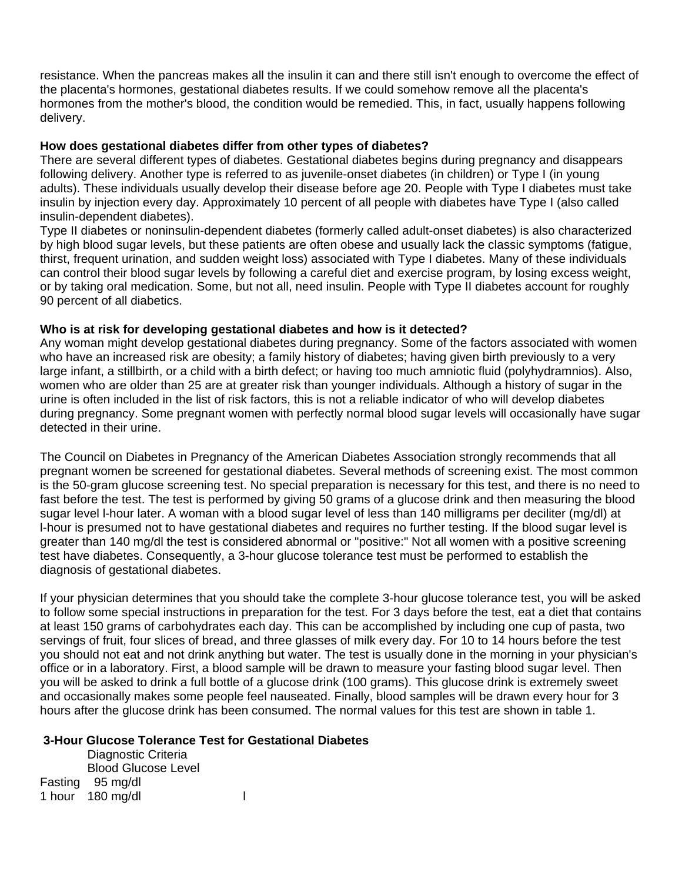resistance. When the pancreas makes all the insulin it can and there still isn't enough to overcome the effect of the placenta's hormones, gestational diabetes results. If we could somehow remove all the placenta's hormones from the mother's blood, the condition would be remedied. This, in fact, usually happens following delivery.

#### **How does gestational diabetes differ from other types of diabetes?**

There are several different types of diabetes. Gestational diabetes begins during pregnancy and disappears following delivery. Another type is referred to as juvenile-onset diabetes (in children) or Type I (in young adults). These individuals usually develop their disease before age 20. People with Type I diabetes must take insulin by injection every day. Approximately 10 percent of all people with diabetes have Type I (also called insulin-dependent diabetes).

Type II diabetes or noninsulin-dependent diabetes (formerly called adult-onset diabetes) is also characterized by high blood sugar levels, but these patients are often obese and usually lack the classic symptoms (fatigue, thirst, frequent urination, and sudden weight loss) associated with Type I diabetes. Many of these individuals can control their blood sugar levels by following a careful diet and exercise program, by losing excess weight, or by taking oral medication. Some, but not all, need insulin. People with Type II diabetes account for roughly 90 percent of all diabetics.

#### **Who is at risk for developing gestational diabetes and how is it detected?**

Any woman might develop gestational diabetes during pregnancy. Some of the factors associated with women who have an increased risk are obesity; a family history of diabetes; having given birth previously to a very large infant, a stillbirth, or a child with a birth defect; or having too much amniotic fluid (polyhydramnios). Also, women who are older than 25 are at greater risk than younger individuals. Although a history of sugar in the urine is often included in the list of risk factors, this is not a reliable indicator of who will develop diabetes during pregnancy. Some pregnant women with perfectly normal blood sugar levels will occasionally have sugar detected in their urine.

The Council on Diabetes in Pregnancy of the American Diabetes Association strongly recommends that all pregnant women be screened for gestational diabetes. Several methods of screening exist. The most common is the 50-gram glucose screening test. No special preparation is necessary for this test, and there is no need to fast before the test. The test is performed by giving 50 grams of a glucose drink and then measuring the blood sugar level l-hour later. A woman with a blood sugar level of less than 140 milligrams per deciliter (mg/dl) at l-hour is presumed not to have gestational diabetes and requires no further testing. If the blood sugar level is greater than 140 mg/dl the test is considered abnormal or "positive:" Not all women with a positive screening test have diabetes. Consequently, a 3-hour glucose tolerance test must be performed to establish the diagnosis of gestational diabetes.

If your physician determines that you should take the complete 3-hour glucose tolerance test, you will be asked to follow some special instructions in preparation for the test. For 3 days before the test, eat a diet that contains at least 150 grams of carbohydrates each day. This can be accomplished by including one cup of pasta, two servings of fruit, four slices of bread, and three glasses of milk every day. For 10 to 14 hours before the test you should not eat and not drink anything but water. The test is usually done in the morning in your physician's office or in a laboratory. First, a blood sample will be drawn to measure your fasting blood sugar level. Then you will be asked to drink a full bottle of a glucose drink (100 grams). This glucose drink is extremely sweet and occasionally makes some people feel nauseated. Finally, blood samples will be drawn every hour for 3 hours after the glucose drink has been consumed. The normal values for this test are shown in table 1.

#### **3-Hour Glucose Tolerance Test for Gestational Diabetes**

 Diagnostic Criteria Blood Glucose Level Fasting 95 mg/dl 1 hour 180 mg/dl l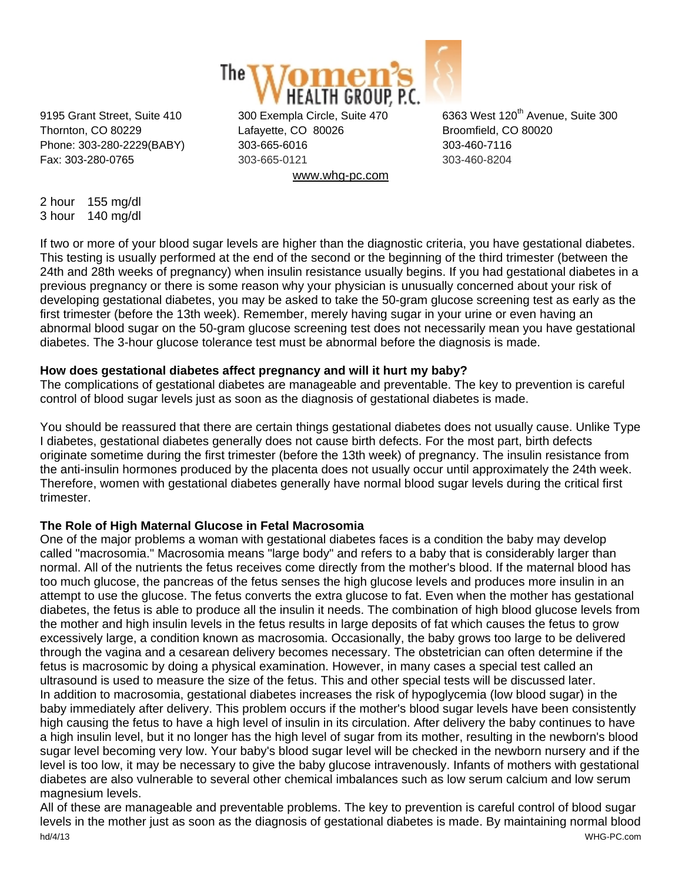

9195 Grant Street, Suite 410 300 Exempla Circle, Suite 470 6363 West 120<sup>th</sup> Avenue, Suite 300

2 hour 155 mg/dl 3 hour 140 mg/dl

If two or more of your blood sugar levels are higher than the diagnostic criteria, you have gestational diabetes. This testing is usually performed at the end of the second or the beginning of the third trimester (between the 24th and 28th weeks of pregnancy) when insulin resistance usually begins. If you had gestational diabetes in a previous pregnancy or there is some reason why your physician is unusually concerned about your risk of developing gestational diabetes, you may be asked to take the 50-gram glucose screening test as early as the first trimester (before the 13th week). Remember, merely having sugar in your urine or even having an abnormal blood sugar on the 50-gram glucose screening test does not necessarily mean you have gestational diabetes. The 3-hour glucose tolerance test must be abnormal before the diagnosis is made.

#### **How does gestational diabetes affect pregnancy and will it hurt my baby?**

The complications of gestational diabetes are manageable and preventable. The key to prevention is careful control of blood sugar levels just as soon as the diagnosis of gestational diabetes is made.

You should be reassured that there are certain things gestational diabetes does not usually cause. Unlike Type I diabetes, gestational diabetes generally does not cause birth defects. For the most part, birth defects originate sometime during the first trimester (before the 13th week) of pregnancy. The insulin resistance from the anti-insulin hormones produced by the placenta does not usually occur until approximately the 24th week. Therefore, women with gestational diabetes generally have normal blood sugar levels during the critical first trimester.

#### **The Role of High Maternal Glucose in Fetal Macrosomia**

One of the major problems a woman with gestational diabetes faces is a condition the baby may develop called "macrosomia." Macrosomia means "large body" and refers to a baby that is considerably larger than normal. All of the nutrients the fetus receives come directly from the mother's blood. If the maternal blood has too much glucose, the pancreas of the fetus senses the high glucose levels and produces more insulin in an attempt to use the glucose. The fetus converts the extra glucose to fat. Even when the mother has gestational diabetes, the fetus is able to produce all the insulin it needs. The combination of high blood glucose levels from the mother and high insulin levels in the fetus results in large deposits of fat which causes the fetus to grow excessively large, a condition known as macrosomia. Occasionally, the baby grows too large to be delivered through the vagina and a cesarean delivery becomes necessary. The obstetrician can often determine if the fetus is macrosomic by doing a physical examination. However, in many cases a special test called an ultrasound is used to measure the size of the fetus. This and other special tests will be discussed later. In addition to macrosomia, gestational diabetes increases the risk of hypoglycemia (low blood sugar) in the baby immediately after delivery. This problem occurs if the mother's blood sugar levels have been consistently high causing the fetus to have a high level of insulin in its circulation. After delivery the baby continues to have a high insulin level, but it no longer has the high level of sugar from its mother, resulting in the newborn's blood sugar level becoming very low. Your baby's blood sugar level will be checked in the newborn nursery and if the level is too low, it may be necessary to give the baby glucose intravenously. Infants of mothers with gestational diabetes are also vulnerable to several other chemical imbalances such as low serum calcium and low serum magnesium levels.

hd/4/13 WHG-PC.com All of these are manageable and preventable problems. The key to prevention is careful control of blood sugar levels in the mother just as soon as the diagnosis of gestational diabetes is made. By maintaining normal blood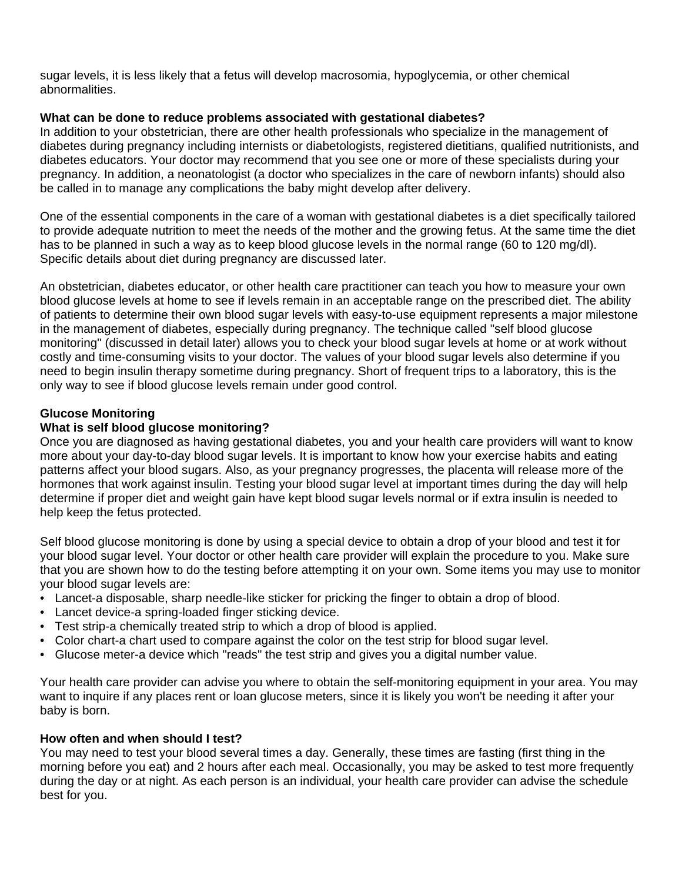sugar levels, it is less likely that a fetus will develop macrosomia, hypoglycemia, or other chemical abnormalities.

#### **What can be done to reduce problems associated with gestational diabetes?**

In addition to your obstetrician, there are other health professionals who specialize in the management of diabetes during pregnancy including internists or diabetologists, registered dietitians, qualified nutritionists, and diabetes educators. Your doctor may recommend that you see one or more of these specialists during your pregnancy. In addition, a neonatologist (a doctor who specializes in the care of newborn infants) should also be called in to manage any complications the baby might develop after delivery.

One of the essential components in the care of a woman with gestational diabetes is a diet specifically tailored to provide adequate nutrition to meet the needs of the mother and the growing fetus. At the same time the diet has to be planned in such a way as to keep blood glucose levels in the normal range (60 to 120 mg/dl). Specific details about diet during pregnancy are discussed later.

An obstetrician, diabetes educator, or other health care practitioner can teach you how to measure your own blood glucose levels at home to see if levels remain in an acceptable range on the prescribed diet. The ability of patients to determine their own blood sugar levels with easy-to-use equipment represents a major milestone in the management of diabetes, especially during pregnancy. The technique called "self blood glucose monitoring" (discussed in detail later) allows you to check your blood sugar levels at home or at work without costly and time-consuming visits to your doctor. The values of your blood sugar levels also determine if you need to begin insulin therapy sometime during pregnancy. Short of frequent trips to a laboratory, this is the only way to see if blood glucose levels remain under good control.

#### **Glucose Monitoring**

#### **What is self blood glucose monitoring?**

Once you are diagnosed as having gestational diabetes, you and your health care providers will want to know more about your day-to-day blood sugar levels. It is important to know how your exercise habits and eating patterns affect your blood sugars. Also, as your pregnancy progresses, the placenta will release more of the hormones that work against insulin. Testing your blood sugar level at important times during the day will help determine if proper diet and weight gain have kept blood sugar levels normal or if extra insulin is needed to help keep the fetus protected.

Self blood glucose monitoring is done by using a special device to obtain a drop of your blood and test it for your blood sugar level. Your doctor or other health care provider will explain the procedure to you. Make sure that you are shown how to do the testing before attempting it on your own. Some items you may use to monitor your blood sugar levels are:

- Lancet-a disposable, sharp needle-like sticker for pricking the finger to obtain a drop of blood.
- Lancet device-a spring-loaded finger sticking device.
- Test strip-a chemically treated strip to which a drop of blood is applied.
- Color chart-a chart used to compare against the color on the test strip for blood sugar level.
- Glucose meter-a device which "reads" the test strip and gives you a digital number value.

Your health care provider can advise you where to obtain the self-monitoring equipment in your area. You may want to inquire if any places rent or loan glucose meters, since it is likely you won't be needing it after your baby is born.

#### **How often and when should I test?**

You may need to test your blood several times a day. Generally, these times are fasting (first thing in the morning before you eat) and 2 hours after each meal. Occasionally, you may be asked to test more frequently during the day or at night. As each person is an individual, your health care provider can advise the schedule best for you.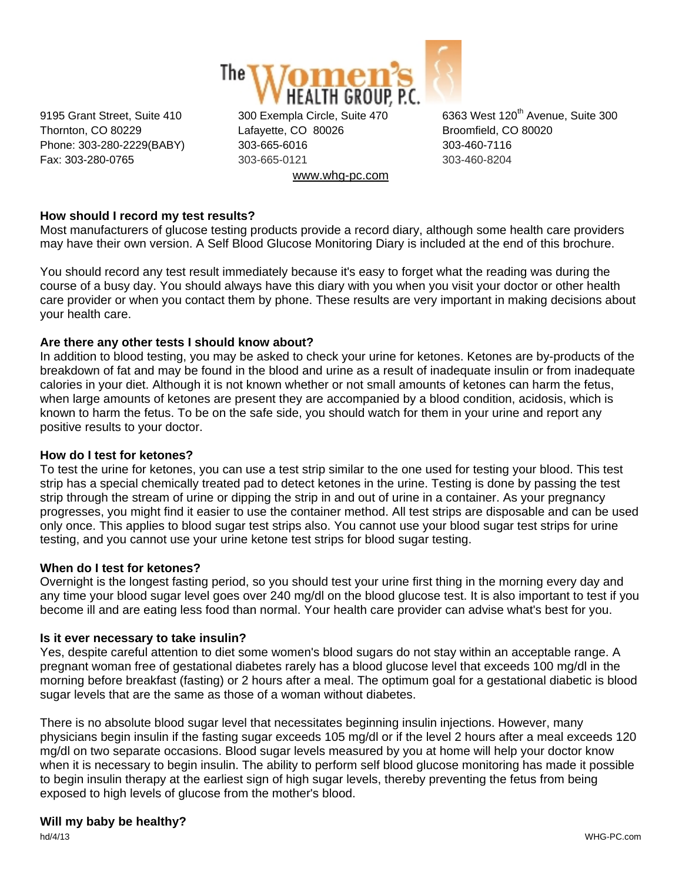

www.whg-pc.com

9195 Grant Street, Suite 410 300 Exempla Circle, Suite 470 6363 West 120<sup>th</sup> Avenue, Suite 300

#### **How should I record my test results?**

Most manufacturers of glucose testing products provide a record diary, although some health care providers may have their own version. A Self Blood Glucose Monitoring Diary is included at the end of this brochure.

You should record any test result immediately because it's easy to forget what the reading was during the course of a busy day. You should always have this diary with you when you visit your doctor or other health care provider or when you contact them by phone. These results are very important in making decisions about your health care.

#### **Are there any other tests I should know about?**

In addition to blood testing, you may be asked to check your urine for ketones. Ketones are by-products of the breakdown of fat and may be found in the blood and urine as a result of inadequate insulin or from inadequate calories in your diet. Although it is not known whether or not small amounts of ketones can harm the fetus, when large amounts of ketones are present they are accompanied by a blood condition, acidosis, which is known to harm the fetus. To be on the safe side, you should watch for them in your urine and report any positive results to your doctor.

#### **How do I test for ketones?**

To test the urine for ketones, you can use a test strip similar to the one used for testing your blood. This test strip has a special chemically treated pad to detect ketones in the urine. Testing is done by passing the test strip through the stream of urine or dipping the strip in and out of urine in a container. As your pregnancy progresses, you might find it easier to use the container method. All test strips are disposable and can be used only once. This applies to blood sugar test strips also. You cannot use your blood sugar test strips for urine testing, and you cannot use your urine ketone test strips for blood sugar testing.

#### **When do I test for ketones?**

Overnight is the longest fasting period, so you should test your urine first thing in the morning every day and any time your blood sugar level goes over 240 mg/dl on the blood glucose test. It is also important to test if you become ill and are eating less food than normal. Your health care provider can advise what's best for you.

#### **Is it ever necessary to take insulin?**

Yes, despite careful attention to diet some women's blood sugars do not stay within an acceptable range. A pregnant woman free of gestational diabetes rarely has a blood glucose level that exceeds 100 mg/dl in the morning before breakfast (fasting) or 2 hours after a meal. The optimum goal for a gestational diabetic is blood sugar levels that are the same as those of a woman without diabetes.

There is no absolute blood sugar level that necessitates beginning insulin injections. However, many physicians begin insulin if the fasting sugar exceeds 105 mg/dl or if the level 2 hours after a meal exceeds 120 mg/dl on two separate occasions. Blood sugar levels measured by you at home will help your doctor know when it is necessary to begin insulin. The ability to perform self blood glucose monitoring has made it possible to begin insulin therapy at the earliest sign of high sugar levels, thereby preventing the fetus from being exposed to high levels of glucose from the mother's blood.

#### **Will my baby be healthy?**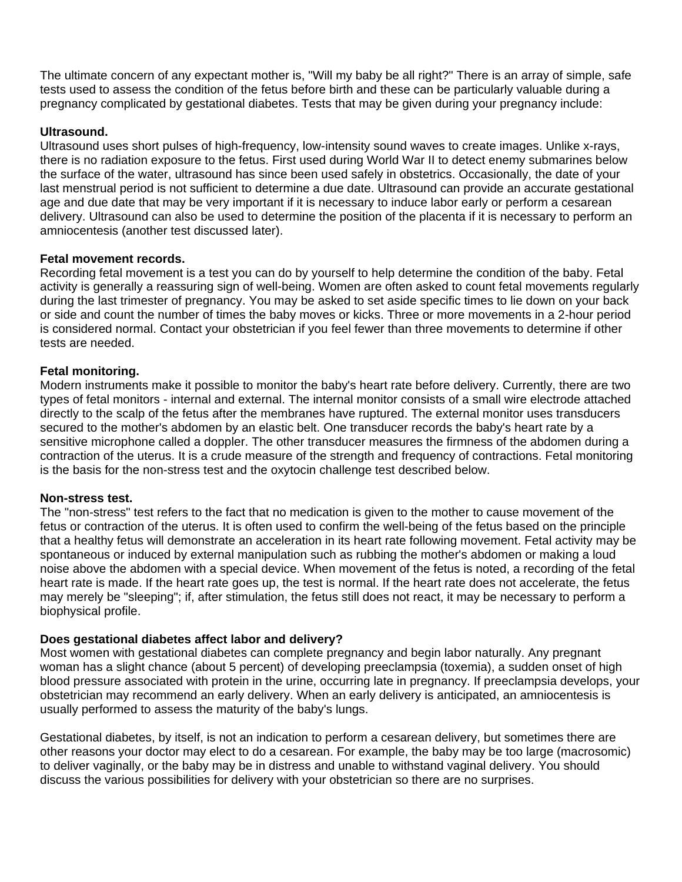The ultimate concern of any expectant mother is, "Will my baby be all right?" There is an array of simple, safe tests used to assess the condition of the fetus before birth and these can be particularly valuable during a pregnancy complicated by gestational diabetes. Tests that may be given during your pregnancy include:

#### **Ultrasound.**

Ultrasound uses short pulses of high-frequency, low-intensity sound waves to create images. Unlike x-rays, there is no radiation exposure to the fetus. First used during World War II to detect enemy submarines below the surface of the water, ultrasound has since been used safely in obstetrics. Occasionally, the date of your last menstrual period is not sufficient to determine a due date. Ultrasound can provide an accurate gestational age and due date that may be very important if it is necessary to induce labor early or perform a cesarean delivery. Ultrasound can also be used to determine the position of the placenta if it is necessary to perform an amniocentesis (another test discussed later).

#### **Fetal movement records.**

Recording fetal movement is a test you can do by yourself to help determine the condition of the baby. Fetal activity is generally a reassuring sign of well-being. Women are often asked to count fetal movements regularly during the last trimester of pregnancy. You may be asked to set aside specific times to lie down on your back or side and count the number of times the baby moves or kicks. Three or more movements in a 2-hour period is considered normal. Contact your obstetrician if you feel fewer than three movements to determine if other tests are needed.

#### **Fetal monitoring.**

Modern instruments make it possible to monitor the baby's heart rate before delivery. Currently, there are two types of fetal monitors - internal and external. The internal monitor consists of a small wire electrode attached directly to the scalp of the fetus after the membranes have ruptured. The external monitor uses transducers secured to the mother's abdomen by an elastic belt. One transducer records the baby's heart rate by a sensitive microphone called a doppler. The other transducer measures the firmness of the abdomen during a contraction of the uterus. It is a crude measure of the strength and frequency of contractions. Fetal monitoring is the basis for the non-stress test and the oxytocin challenge test described below.

#### **Non-stress test.**

The "non-stress" test refers to the fact that no medication is given to the mother to cause movement of the fetus or contraction of the uterus. It is often used to confirm the well-being of the fetus based on the principle that a healthy fetus will demonstrate an acceleration in its heart rate following movement. Fetal activity may be spontaneous or induced by external manipulation such as rubbing the mother's abdomen or making a loud noise above the abdomen with a special device. When movement of the fetus is noted, a recording of the fetal heart rate is made. If the heart rate goes up, the test is normal. If the heart rate does not accelerate, the fetus may merely be "sleeping"; if, after stimulation, the fetus still does not react, it may be necessary to perform a biophysical profile.

#### **Does gestational diabetes affect labor and delivery?**

Most women with gestational diabetes can complete pregnancy and begin labor naturally. Any pregnant woman has a slight chance (about 5 percent) of developing preeclampsia (toxemia), a sudden onset of high blood pressure associated with protein in the urine, occurring late in pregnancy. If preeclampsia develops, your obstetrician may recommend an early delivery. When an early delivery is anticipated, an amniocentesis is usually performed to assess the maturity of the baby's lungs.

Gestational diabetes, by itself, is not an indication to perform a cesarean delivery, but sometimes there are other reasons your doctor may elect to do a cesarean. For example, the baby may be too large (macrosomic) to deliver vaginally, or the baby may be in distress and unable to withstand vaginal delivery. You should discuss the various possibilities for delivery with your obstetrician so there are no surprises.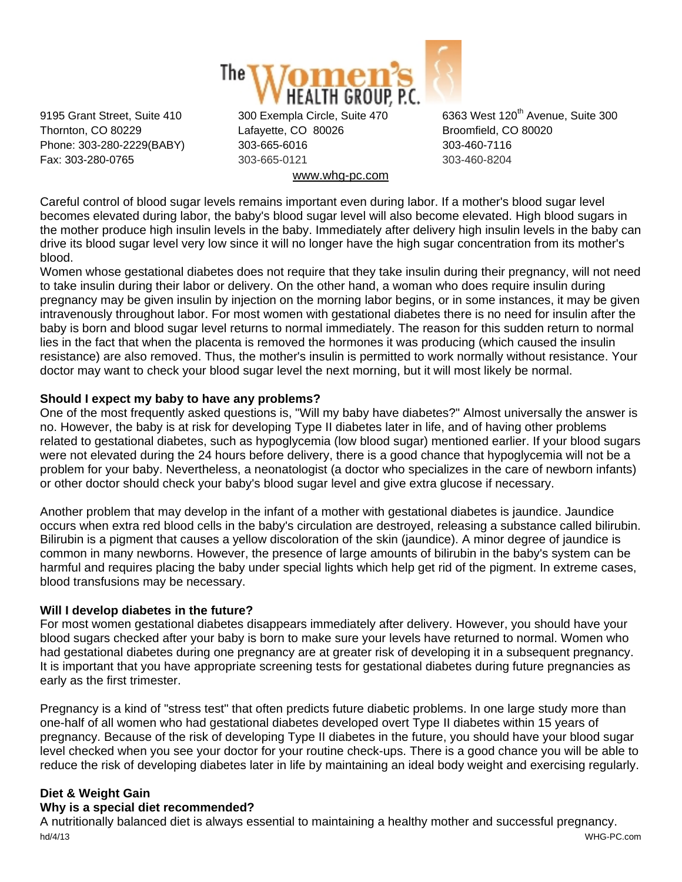

9195 Grant Street, Suite 410 300 Exempla Circle, Suite 470 6363 West 120<sup>th</sup> Avenue, Suite 300

Careful control of blood sugar levels remains important even during labor. If a mother's blood sugar level becomes elevated during labor, the baby's blood sugar level will also become elevated. High blood sugars in the mother produce high insulin levels in the baby. Immediately after delivery high insulin levels in the baby can drive its blood sugar level very low since it will no longer have the high sugar concentration from its mother's blood.

Women whose gestational diabetes does not require that they take insulin during their pregnancy, will not need to take insulin during their labor or delivery. On the other hand, a woman who does require insulin during pregnancy may be given insulin by injection on the morning labor begins, or in some instances, it may be given intravenously throughout labor. For most women with gestational diabetes there is no need for insulin after the baby is born and blood sugar level returns to normal immediately. The reason for this sudden return to normal lies in the fact that when the placenta is removed the hormones it was producing (which caused the insulin resistance) are also removed. Thus, the mother's insulin is permitted to work normally without resistance. Your doctor may want to check your blood sugar level the next morning, but it will most likely be normal.

#### **Should I expect my baby to have any problems?**

One of the most frequently asked questions is, "Will my baby have diabetes?" Almost universally the answer is no. However, the baby is at risk for developing Type II diabetes later in life, and of having other problems related to gestational diabetes, such as hypoglycemia (low blood sugar) mentioned earlier. If your blood sugars were not elevated during the 24 hours before delivery, there is a good chance that hypoglycemia will not be a problem for your baby. Nevertheless, a neonatologist (a doctor who specializes in the care of newborn infants) or other doctor should check your baby's blood sugar level and give extra glucose if necessary.

Another problem that may develop in the infant of a mother with gestational diabetes is jaundice. Jaundice occurs when extra red blood cells in the baby's circulation are destroyed, releasing a substance called bilirubin. Bilirubin is a pigment that causes a yellow discoloration of the skin (jaundice). A minor degree of jaundice is common in many newborns. However, the presence of large amounts of bilirubin in the baby's system can be harmful and requires placing the baby under special lights which help get rid of the pigment. In extreme cases, blood transfusions may be necessary.

#### **Will I develop diabetes in the future?**

For most women gestational diabetes disappears immediately after delivery. However, you should have your blood sugars checked after your baby is born to make sure your levels have returned to normal. Women who had gestational diabetes during one pregnancy are at greater risk of developing it in a subsequent pregnancy. It is important that you have appropriate screening tests for gestational diabetes during future pregnancies as early as the first trimester.

Pregnancy is a kind of "stress test" that often predicts future diabetic problems. In one large study more than one-half of all women who had gestational diabetes developed overt Type II diabetes within 15 years of pregnancy. Because of the risk of developing Type II diabetes in the future, you should have your blood sugar level checked when you see your doctor for your routine check-ups. There is a good chance you will be able to reduce the risk of developing diabetes later in life by maintaining an ideal body weight and exercising regularly.

#### **Diet & Weight Gain**

#### **Why is a special diet recommended?**

hd/4/13 WHG-PC.com A nutritionally balanced diet is always essential to maintaining a healthy mother and successful pregnancy.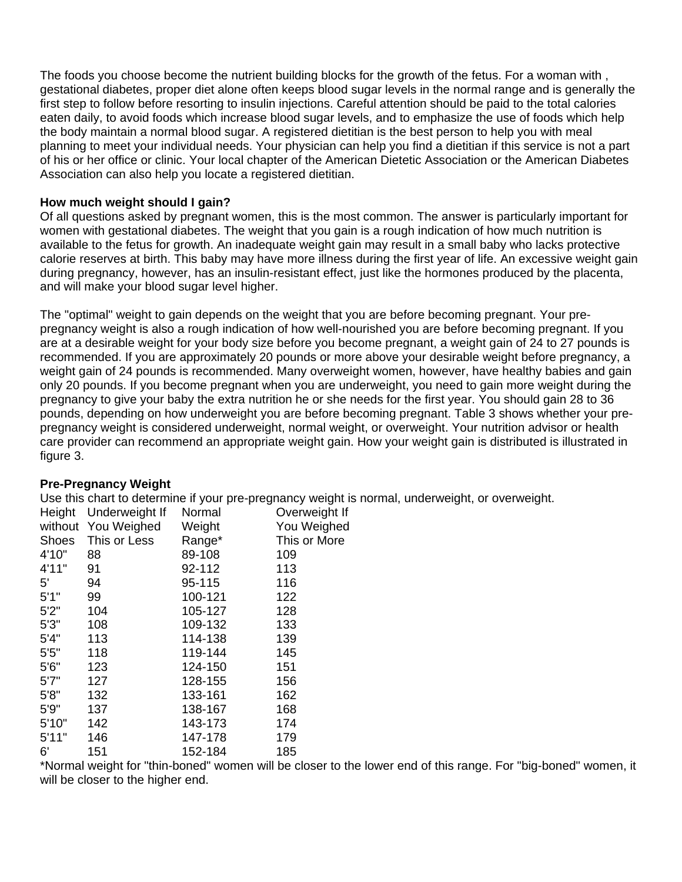The foods you choose become the nutrient building blocks for the growth of the fetus. For a woman with , gestational diabetes, proper diet alone often keeps blood sugar levels in the normal range and is generally the first step to follow before resorting to insulin injections. Careful attention should be paid to the total calories eaten daily, to avoid foods which increase blood sugar levels, and to emphasize the use of foods which help the body maintain a normal blood sugar. A registered dietitian is the best person to help you with meal planning to meet your individual needs. Your physician can help you find a dietitian if this service is not a part of his or her office or clinic. Your local chapter of the American Dietetic Association or the American Diabetes Association can also help you locate a registered dietitian.

#### **How much weight should I gain?**

Of all questions asked by pregnant women, this is the most common. The answer is particularly important for women with gestational diabetes. The weight that you gain is a rough indication of how much nutrition is available to the fetus for growth. An inadequate weight gain may result in a small baby who lacks protective calorie reserves at birth. This baby may have more illness during the first year of life. An excessive weight gain during pregnancy, however, has an insulin-resistant effect, just like the hormones produced by the placenta, and will make your blood sugar level higher.

The "optimal" weight to gain depends on the weight that you are before becoming pregnant. Your prepregnancy weight is also a rough indication of how well-nourished you are before becoming pregnant. If you are at a desirable weight for your body size before you become pregnant, a weight gain of 24 to 27 pounds is recommended. If you are approximately 20 pounds or more above your desirable weight before pregnancy, a weight gain of 24 pounds is recommended. Many overweight women, however, have healthy babies and gain only 20 pounds. If you become pregnant when you are underweight, you need to gain more weight during the pregnancy to give your baby the extra nutrition he or she needs for the first year. You should gain 28 to 36 pounds, depending on how underweight you are before becoming pregnant. Table 3 shows whether your prepregnancy weight is considered underweight, normal weight, or overweight. Your nutrition advisor or health care provider can recommend an appropriate weight gain. How your weight gain is distributed is illustrated in figure 3.

#### **Pre-Pregnancy Weight**

Use this chart to determine if your pre-pregnancy weight is normal, underweight, or overweight.

| Height       | Underweight If      | Normal  | Overweight If |
|--------------|---------------------|---------|---------------|
|              | without You Weighed | Weight  | You Weighed   |
| <b>Shoes</b> | This or Less        | Range*  | This or More  |
| 4'10"        | 88                  | 89-108  | 109           |
| 4'11"        | 91                  | 92-112  | 113           |
| 5'           | 94                  | 95-115  | 116           |
| 5'1"         | 99                  | 100-121 | 122           |
| 5'2"         | 104                 | 105-127 | 128           |
| 5'3''        | 108                 | 109-132 | 133           |
| 5'4''        | 113                 | 114-138 | 139           |
| 5'5"         | 118                 | 119-144 | 145           |
| 5'6''        | 123                 | 124-150 | 151           |
| 5'7''        | 127                 | 128-155 | 156           |
| 5'8''        | 132                 | 133-161 | 162           |
| 5'9''        | 137                 | 138-167 | 168           |
| 5'10"        | 142                 | 143-173 | 174           |
| 5'11"        | 146                 | 147-178 | 179           |
| 6'           | 151                 | 152-184 | 185           |

\*Normal weight for "thin-boned" women will be closer to the lower end of this range. For "big-boned" women, it will be closer to the higher end.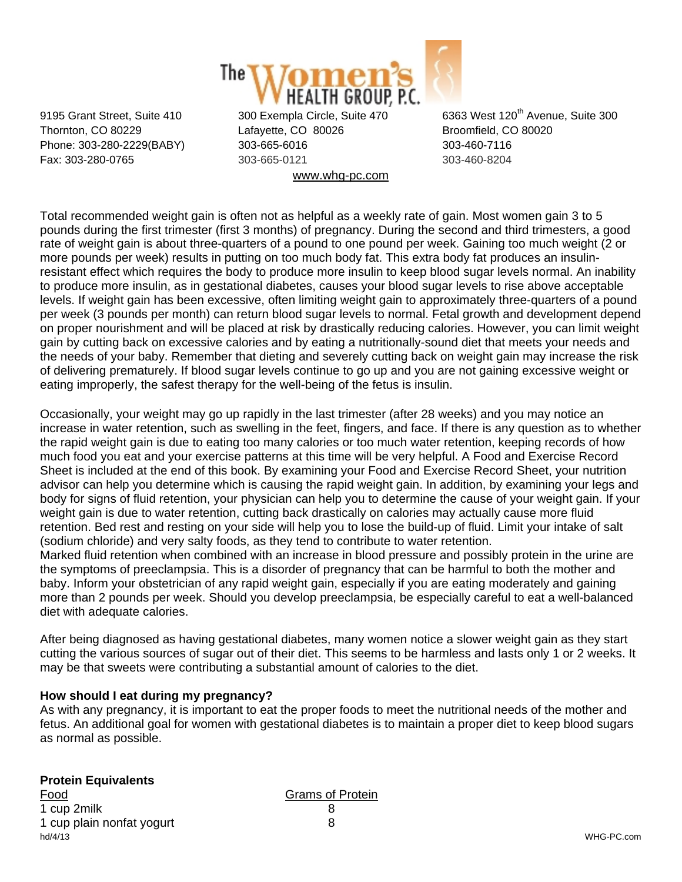

9195 Grant Street, Suite 410 300 Exempla Circle, Suite 470 6363 West 120<sup>th</sup> Avenue, Suite 300

Total recommended weight gain is often not as helpful as a weekly rate of gain. Most women gain 3 to 5 pounds during the first trimester (first 3 months) of pregnancy. During the second and third trimesters, a good rate of weight gain is about three-quarters of a pound to one pound per week. Gaining too much weight (2 or more pounds per week) results in putting on too much body fat. This extra body fat produces an insulinresistant effect which requires the body to produce more insulin to keep blood sugar levels normal. An inability to produce more insulin, as in gestational diabetes, causes your blood sugar levels to rise above acceptable levels. If weight gain has been excessive, often limiting weight gain to approximately three-quarters of a pound per week (3 pounds per month) can return blood sugar levels to normal. Fetal growth and development depend on proper nourishment and will be placed at risk by drastically reducing calories. However, you can limit weight gain by cutting back on excessive calories and by eating a nutritionally-sound diet that meets your needs and the needs of your baby. Remember that dieting and severely cutting back on weight gain may increase the risk of delivering prematurely. If blood sugar levels continue to go up and you are not gaining excessive weight or eating improperly, the safest therapy for the well-being of the fetus is insulin.

Occasionally, your weight may go up rapidly in the last trimester (after 28 weeks) and you may notice an increase in water retention, such as swelling in the feet, fingers, and face. If there is any question as to whether the rapid weight gain is due to eating too many calories or too much water retention, keeping records of how much food you eat and your exercise patterns at this time will be very helpful. A Food and Exercise Record Sheet is included at the end of this book. By examining your Food and Exercise Record Sheet, your nutrition advisor can help you determine which is causing the rapid weight gain. In addition, by examining your legs and body for signs of fluid retention, your physician can help you to determine the cause of your weight gain. If your weight gain is due to water retention, cutting back drastically on calories may actually cause more fluid retention. Bed rest and resting on your side will help you to lose the build-up of fluid. Limit your intake of salt (sodium chloride) and very salty foods, as they tend to contribute to water retention.

Marked fluid retention when combined with an increase in blood pressure and possibly protein in the urine are the symptoms of preeclampsia. This is a disorder of pregnancy that can be harmful to both the mother and baby. Inform your obstetrician of any rapid weight gain, especially if you are eating moderately and gaining more than 2 pounds per week. Should you develop preeclampsia, be especially careful to eat a well-balanced diet with adequate calories.

After being diagnosed as having gestational diabetes, many women notice a slower weight gain as they start cutting the various sources of sugar out of their diet. This seems to be harmless and lasts only 1 or 2 weeks. It may be that sweets were contributing a substantial amount of calories to the diet.

#### **How should I eat during my pregnancy?**

As with any pregnancy, it is important to eat the proper foods to meet the nutritional needs of the mother and fetus. An additional goal for women with gestational diabetes is to maintain a proper diet to keep blood sugars as normal as possible.

| <b>Protein Equivalents</b> |                  |            |
|----------------------------|------------------|------------|
| <b>Food</b>                | Grams of Protein |            |
| 1 cup 2milk                |                  |            |
| 1 cup plain nonfat yogurt  | 8                |            |
| hd/4/13                    |                  | WHG-PC.com |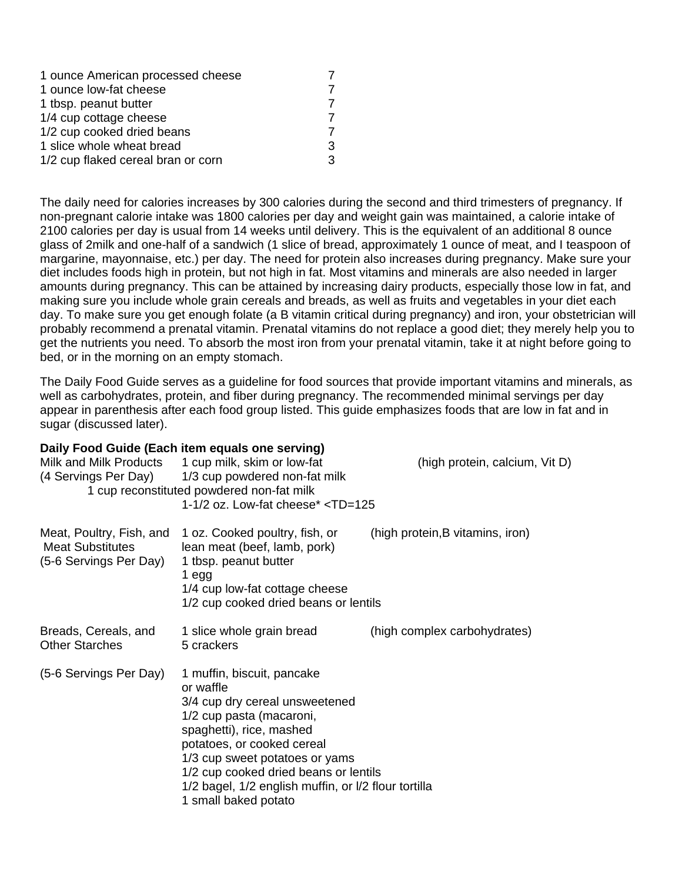| 1 ounce American processed cheese  |  |
|------------------------------------|--|
| 1 ounce low-fat cheese             |  |
| 1 tbsp. peanut butter              |  |
| 1/4 cup cottage cheese             |  |
| 1/2 cup cooked dried beans         |  |
| 1 slice whole wheat bread          |  |
| 1/2 cup flaked cereal bran or corn |  |

The daily need for calories increases by 300 calories during the second and third trimesters of pregnancy. If non-pregnant calorie intake was 1800 calories per day and weight gain was maintained, a calorie intake of 2100 calories per day is usual from 14 weeks until delivery. This is the equivalent of an additional 8 ounce glass of 2milk and one-half of a sandwich (1 slice of bread, approximately 1 ounce of meat, and I teaspoon of margarine, mayonnaise, etc.) per day. The need for protein also increases during pregnancy. Make sure your diet includes foods high in protein, but not high in fat. Most vitamins and minerals are also needed in larger amounts during pregnancy. This can be attained by increasing dairy products, especially those low in fat, and making sure you include whole grain cereals and breads, as well as fruits and vegetables in your diet each day. To make sure you get enough folate (a B vitamin critical during pregnancy) and iron, your obstetrician will probably recommend a prenatal vitamin. Prenatal vitamins do not replace a good diet; they merely help you to get the nutrients you need. To absorb the most iron from your prenatal vitamin, take it at night before going to bed, or in the morning on an empty stomach.

The Daily Food Guide serves as a guideline for food sources that provide important vitamins and minerals, as well as carbohydrates, protein, and fiber during pregnancy. The recommended minimal servings per day appear in parenthesis after each food group listed. This guide emphasizes foods that are low in fat and in sugar (discussed later).

#### **Daily Food Guide (Each item equals one serving)**

| Milk and Milk Products<br>(4 Servings Per Day)                                | 1 cup milk, skim or low-fat<br>1/3 cup powdered non-fat milk<br>1 cup reconstituted powdered non-fat milk<br>1-1/2 oz. Low-fat cheese* <td=125< th=""><th>(high protein, calcium, Vit D)</th></td=125<>                                                                                                                    | (high protein, calcium, Vit D)   |
|-------------------------------------------------------------------------------|----------------------------------------------------------------------------------------------------------------------------------------------------------------------------------------------------------------------------------------------------------------------------------------------------------------------------|----------------------------------|
| Meat, Poultry, Fish, and<br><b>Meat Substitutes</b><br>(5-6 Servings Per Day) | 1 oz. Cooked poultry, fish, or<br>lean meat (beef, lamb, pork)<br>1 tbsp. peanut butter<br>1 egg<br>1/4 cup low-fat cottage cheese<br>1/2 cup cooked dried beans or lentils                                                                                                                                                | (high protein, B vitamins, iron) |
| Breads, Cereals, and<br><b>Other Starches</b>                                 | 1 slice whole grain bread<br>5 crackers                                                                                                                                                                                                                                                                                    | (high complex carbohydrates)     |
| (5-6 Servings Per Day)                                                        | 1 muffin, biscuit, pancake<br>or waffle<br>3/4 cup dry cereal unsweetened<br>1/2 cup pasta (macaroni,<br>spaghetti), rice, mashed<br>potatoes, or cooked cereal<br>1/3 cup sweet potatoes or yams<br>1/2 cup cooked dried beans or lentils<br>1/2 bagel, 1/2 english muffin, or I/2 flour tortilla<br>1 small baked potato |                                  |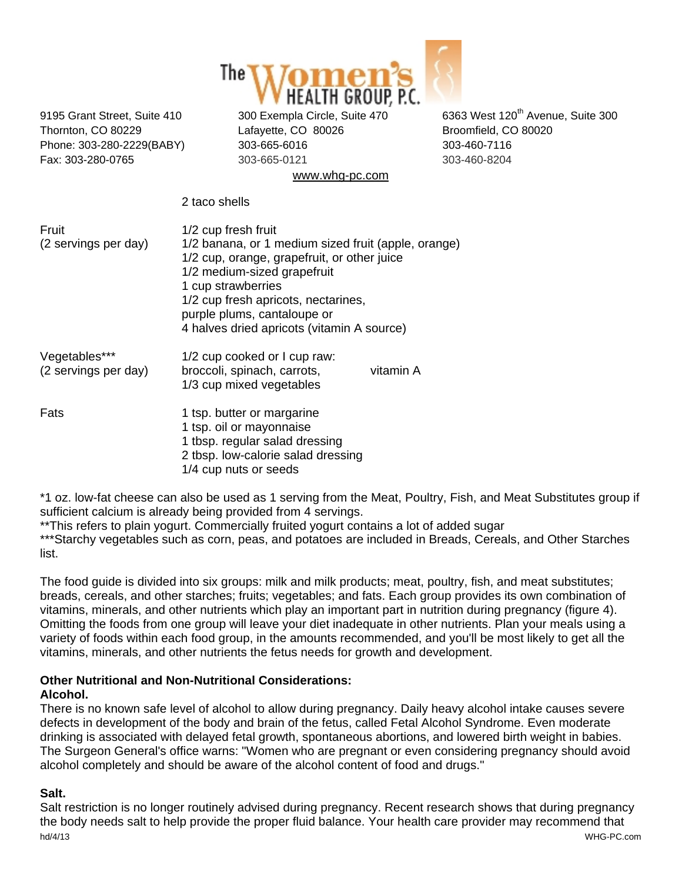

9195 Grant Street, Suite 410 300 Exempla Circle, Suite 470 6363 West 120<sup>th</sup> Avenue, Suite 300

#### 2 taco shells

| Fruit<br>(2 servings per day)         | 1/2 cup fresh fruit<br>1/2 banana, or 1 medium sized fruit (apple, orange)<br>1/2 cup, orange, grapefruit, or other juice<br>1/2 medium-sized grapefruit<br>1 cup strawberries<br>1/2 cup fresh apricots, nectarines,<br>purple plums, cantaloupe or<br>4 halves dried apricots (vitamin A source) |           |
|---------------------------------------|----------------------------------------------------------------------------------------------------------------------------------------------------------------------------------------------------------------------------------------------------------------------------------------------------|-----------|
| Vegetables***<br>(2 servings per day) | 1/2 cup cooked or I cup raw:<br>broccoli, spinach, carrots,<br>1/3 cup mixed vegetables                                                                                                                                                                                                            | vitamin A |
| Fats                                  | 1 tsp. butter or margarine<br>1 tsp. oil or mayonnaise<br>1 tbsp. regular salad dressing<br>2 tbsp. low-calorie salad dressing<br>1/4 cup nuts or seeds                                                                                                                                            |           |

\*1 oz. low-fat cheese can also be used as 1 serving from the Meat, Poultry, Fish, and Meat Substitutes group if sufficient calcium is already being provided from 4 servings.

\*\*This refers to plain yogurt. Commercially fruited yogurt contains a lot of added sugar

\*\*\*Starchy vegetables such as corn, peas, and potatoes are included in Breads, Cereals, and Other Starches list.

The food guide is divided into six groups: milk and milk products; meat, poultry, fish, and meat substitutes; breads, cereals, and other starches; fruits; vegetables; and fats. Each group provides its own combination of vitamins, minerals, and other nutrients which play an important part in nutrition during pregnancy (figure 4). Omitting the foods from one group will leave your diet inadequate in other nutrients. Plan your meals using a variety of foods within each food group, in the amounts recommended, and you'll be most likely to get all the vitamins, minerals, and other nutrients the fetus needs for growth and development.

#### **Other Nutritional and Non-Nutritional Considerations:**

#### **Alcohol.**

There is no known safe level of alcohol to allow during pregnancy. Daily heavy alcohol intake causes severe defects in development of the body and brain of the fetus, called Fetal Alcohol Syndrome. Even moderate drinking is associated with delayed fetal growth, spontaneous abortions, and lowered birth weight in babies. The Surgeon General's office warns: "Women who are pregnant or even considering pregnancy should avoid alcohol completely and should be aware of the alcohol content of food and drugs."

#### **Salt.**

hd/4/13 WHG-PC.com Salt restriction is no longer routinely advised during pregnancy. Recent research shows that during pregnancy the body needs salt to help provide the proper fluid balance. Your health care provider may recommend that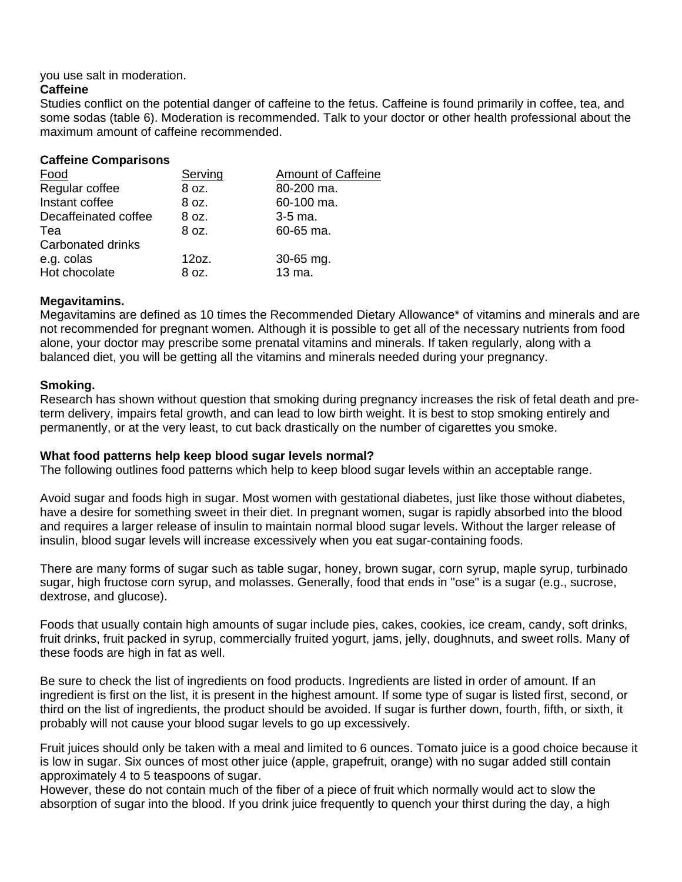you use salt in moderation.

#### **Caffeine**

Studies conflict on the potential danger of caffeine to the fetus. Caffeine is found primarily in coffee, tea, and some sodas (table 6). Moderation is recommended. Talk to your doctor or other health professional about the maximum amount of caffeine recommended.

#### **Caffeine Comparisons**

| Food                     | Serving | <b>Amount of Caffeine</b> |
|--------------------------|---------|---------------------------|
| Regular coffee           | 8 oz.   | 80-200 ma.                |
| Instant coffee           | 8 oz.   | 60-100 ma.                |
| Decaffeinated coffee     | 8 oz.   | $3-5$ ma.                 |
| Tea                      | 8 oz.   | 60-65 ma.                 |
| <b>Carbonated drinks</b> |         |                           |
| e.g. colas               | 12oz.   | 30-65 mg.                 |
| Hot chocolate            | 8 oz.   | 13 ma.                    |
|                          |         |                           |

#### **Megavitamins.**

Megavitamins are defined as 10 times the Recommended Dietary Allowance\* of vitamins and minerals and are not recommended for pregnant women. Although it is possible to get all of the necessary nutrients from food alone, your doctor may prescribe some prenatal vitamins and minerals. If taken regularly, along with a balanced diet, you will be getting all the vitamins and minerals needed during your pregnancy.

#### **Smoking.**

Research has shown without question that smoking during pregnancy increases the risk of fetal death and preterm delivery, impairs fetal growth, and can lead to low birth weight. It is best to stop smoking entirely and permanently, or at the very least, to cut back drastically on the number of cigarettes you smoke.

#### **What food patterns help keep blood sugar levels normal?**

The following outlines food patterns which help to keep blood sugar levels within an acceptable range.

Avoid sugar and foods high in sugar. Most women with gestational diabetes, just like those without diabetes, have a desire for something sweet in their diet. In pregnant women, sugar is rapidly absorbed into the blood and requires a larger release of insulin to maintain normal blood sugar levels. Without the larger release of insulin, blood sugar levels will increase excessively when you eat sugar-containing foods.

There are many forms of sugar such as table sugar, honey, brown sugar, corn syrup, maple syrup, turbinado sugar, high fructose corn syrup, and molasses. Generally, food that ends in "ose" is a sugar (e.g., sucrose, dextrose, and glucose).

Foods that usually contain high amounts of sugar include pies, cakes, cookies, ice cream, candy, soft drinks, fruit drinks, fruit packed in syrup, commercially fruited yogurt, jams, jelly, doughnuts, and sweet rolls. Many of these foods are high in fat as well.

Be sure to check the list of ingredients on food products. Ingredients are listed in order of amount. If an ingredient is first on the list, it is present in the highest amount. If some type of sugar is listed first, second, or third on the list of ingredients, the product should be avoided. If sugar is further down, fourth, fifth, or sixth, it probably will not cause your blood sugar levels to go up excessively.

Fruit juices should only be taken with a meal and limited to 6 ounces. Tomato juice is a good choice because it is low in sugar. Six ounces of most other juice (apple, grapefruit, orange) with no sugar added still contain approximately 4 to 5 teaspoons of sugar.

However, these do not contain much of the fiber of a piece of fruit which normally would act to slow the absorption of sugar into the blood. If you drink juice frequently to quench your thirst during the day, a high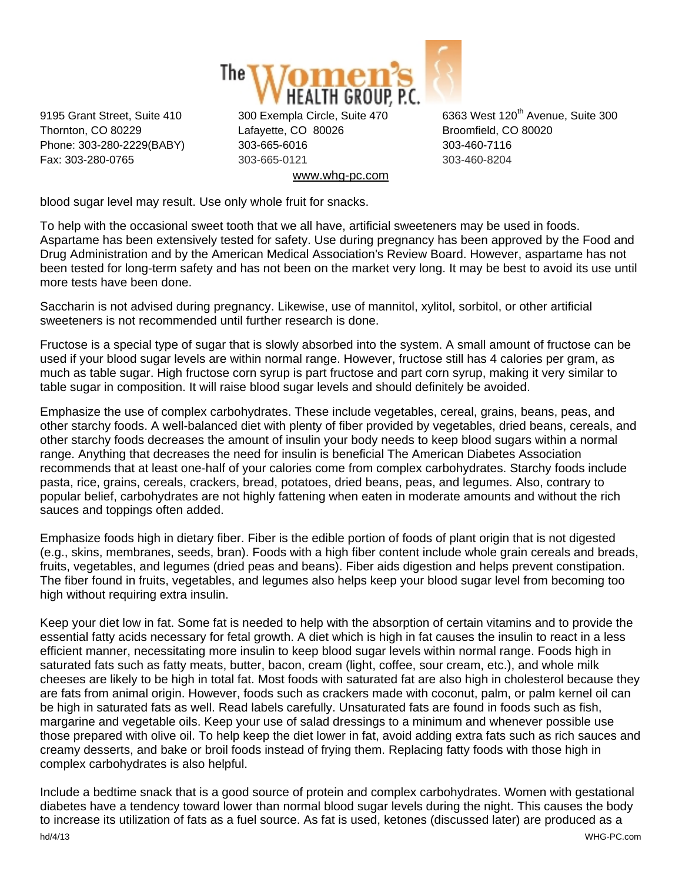

9195 Grant Street, Suite 410 300 Exempla Circle, Suite 470 6363 West 120<sup>th</sup> Avenue, Suite 300

blood sugar level may result. Use only whole fruit for snacks.

To help with the occasional sweet tooth that we all have, artificial sweeteners may be used in foods. Aspartame has been extensively tested for safety. Use during pregnancy has been approved by the Food and Drug Administration and by the American Medical Association's Review Board. However, aspartame has not been tested for long-term safety and has not been on the market very long. It may be best to avoid its use until more tests have been done.

Saccharin is not advised during pregnancy. Likewise, use of mannitol, xylitol, sorbitol, or other artificial sweeteners is not recommended until further research is done.

Fructose is a special type of sugar that is slowly absorbed into the system. A small amount of fructose can be used if your blood sugar levels are within normal range. However, fructose still has 4 calories per gram, as much as table sugar. High fructose corn syrup is part fructose and part corn syrup, making it very similar to table sugar in composition. It will raise blood sugar levels and should definitely be avoided.

Emphasize the use of complex carbohydrates. These include vegetables, cereal, grains, beans, peas, and other starchy foods. A well-balanced diet with plenty of fiber provided by vegetables, dried beans, cereals, and other starchy foods decreases the amount of insulin your body needs to keep blood sugars within a normal range. Anything that decreases the need for insulin is beneficial The American Diabetes Association recommends that at least one-half of your calories come from complex carbohydrates. Starchy foods include pasta, rice, grains, cereals, crackers, bread, potatoes, dried beans, peas, and legumes. Also, contrary to popular belief, carbohydrates are not highly fattening when eaten in moderate amounts and without the rich sauces and toppings often added.

Emphasize foods high in dietary fiber. Fiber is the edible portion of foods of plant origin that is not digested (e.g., skins, membranes, seeds, bran). Foods with a high fiber content include whole grain cereals and breads, fruits, vegetables, and legumes (dried peas and beans). Fiber aids digestion and helps prevent constipation. The fiber found in fruits, vegetables, and legumes also helps keep your blood sugar level from becoming too high without requiring extra insulin.

Keep your diet low in fat. Some fat is needed to help with the absorption of certain vitamins and to provide the essential fatty acids necessary for fetal growth. A diet which is high in fat causes the insulin to react in a less efficient manner, necessitating more insulin to keep blood sugar levels within normal range. Foods high in saturated fats such as fatty meats, butter, bacon, cream (light, coffee, sour cream, etc.), and whole milk cheeses are likely to be high in total fat. Most foods with saturated fat are also high in cholesterol because they are fats from animal origin. However, foods such as crackers made with coconut, palm, or palm kernel oil can be high in saturated fats as well. Read labels carefully. Unsaturated fats are found in foods such as fish, margarine and vegetable oils. Keep your use of salad dressings to a minimum and whenever possible use those prepared with olive oil. To help keep the diet lower in fat, avoid adding extra fats such as rich sauces and creamy desserts, and bake or broil foods instead of frying them. Replacing fatty foods with those high in complex carbohydrates is also helpful.

Include a bedtime snack that is a good source of protein and complex carbohydrates. Women with gestational diabetes have a tendency toward lower than normal blood sugar levels during the night. This causes the body to increase its utilization of fats as a fuel source. As fat is used, ketones (discussed later) are produced as a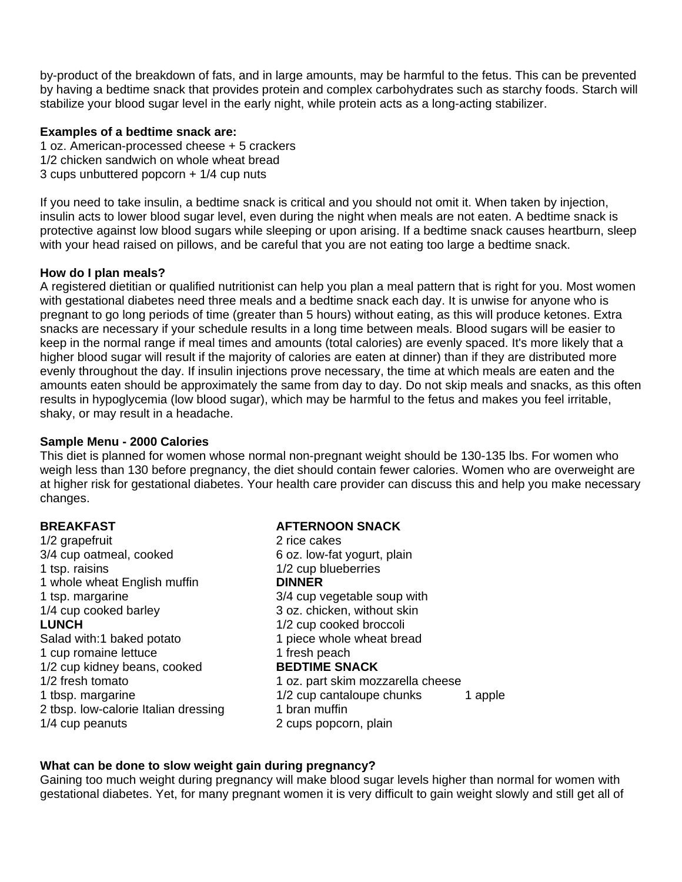by-product of the breakdown of fats, and in large amounts, may be harmful to the fetus. This can be prevented by having a bedtime snack that provides protein and complex carbohydrates such as starchy foods. Starch will stabilize your blood sugar level in the early night, while protein acts as a long-acting stabilizer.

#### **Examples of a bedtime snack are:**

1 oz. American-processed cheese + 5 crackers 1/2 chicken sandwich on whole wheat bread 3 cups unbuttered popcorn + 1/4 cup nuts

If you need to take insulin, a bedtime snack is critical and you should not omit it. When taken by injection, insulin acts to lower blood sugar level, even during the night when meals are not eaten. A bedtime snack is protective against low blood sugars while sleeping or upon arising. If a bedtime snack causes heartburn, sleep with your head raised on pillows, and be careful that you are not eating too large a bedtime snack.

#### **How do I plan meals?**

A registered dietitian or qualified nutritionist can help you plan a meal pattern that is right for you. Most women with gestational diabetes need three meals and a bedtime snack each day. It is unwise for anyone who is pregnant to go long periods of time (greater than 5 hours) without eating, as this will produce ketones. Extra snacks are necessary if your schedule results in a long time between meals. Blood sugars will be easier to keep in the normal range if meal times and amounts (total calories) are evenly spaced. It's more likely that a higher blood sugar will result if the majority of calories are eaten at dinner) than if they are distributed more evenly throughout the day. If insulin injections prove necessary, the time at which meals are eaten and the amounts eaten should be approximately the same from day to day. Do not skip meals and snacks, as this often results in hypoglycemia (low blood sugar), which may be harmful to the fetus and makes you feel irritable, shaky, or may result in a headache.

#### **Sample Menu - 2000 Calories**

This diet is planned for women whose normal non-pregnant weight should be 130-135 lbs. For women who weigh less than 130 before pregnancy, the diet should contain fewer calories. Women who are overweight are at higher risk for gestational diabetes. Your health care provider can discuss this and help you make necessary changes.

1/2 grapefruit 2 rice cakes 3/4 cup oatmeal, cooked 6 oz. low-fat yogurt, plain 1 tsp. raisins 1/2 cup blueberries 1 whole wheat English muffin **DINNER** 1 tsp. margarine 11 tsp. margarine 1/4 cup cooked barley 3 oz. chicken, without skin **LUNCH** 1/2 cup cooked broccoli Salad with:1 baked potato 1 piece whole wheat bread 1 cup romaine lettuce 1 fresh peach 1/2 cup kidney beans, cooked **BEDTIME SNACK** 2 tbsp. low-calorie Italian dressing 1/4 cup peanuts<br>1/4 cup peanuts 2 cups popco

#### **BREAKFAST AFTERNOON SNACK**

1/2 fresh tomato 1 oz. part skim mozzarella cheese 1 tbsp. margarine 1/2 cup cantaloupe chunks 1 apple 2 cups popcorn, plain

#### **What can be done to slow weight gain during pregnancy?**

Gaining too much weight during pregnancy will make blood sugar levels higher than normal for women with gestational diabetes. Yet, for many pregnant women it is very difficult to gain weight slowly and still get all of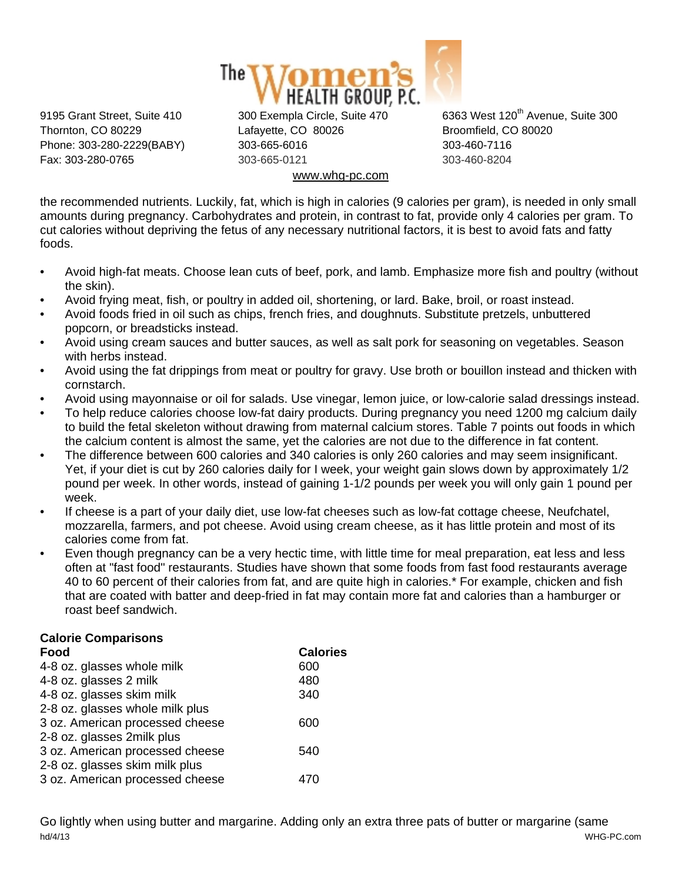

9195 Grant Street, Suite 410 300 Exempla Circle, Suite 470 6363 West 120<sup>th</sup> Avenue, Suite 300

the recommended nutrients. Luckily, fat, which is high in calories (9 calories per gram), is needed in only small amounts during pregnancy. Carbohydrates and protein, in contrast to fat, provide only 4 calories per gram. To cut calories without depriving the fetus of any necessary nutritional factors, it is best to avoid fats and fatty foods.

- Avoid high-fat meats. Choose lean cuts of beef, pork, and lamb. Emphasize more fish and poultry (without the skin).
- Avoid frying meat, fish, or poultry in added oil, shortening, or lard. Bake, broil, or roast instead.
- Avoid foods fried in oil such as chips, french fries, and doughnuts. Substitute pretzels, unbuttered popcorn, or breadsticks instead.
- Avoid using cream sauces and butter sauces, as well as salt pork for seasoning on vegetables. Season with herbs instead.
- Avoid using the fat drippings from meat or poultry for gravy. Use broth or bouillon instead and thicken with cornstarch.
- Avoid using mayonnaise or oil for salads. Use vinegar, lemon juice, or low-calorie salad dressings instead.
- To help reduce calories choose low-fat dairy products. During pregnancy you need 1200 mg calcium daily to build the fetal skeleton without drawing from maternal calcium stores. Table 7 points out foods in which the calcium content is almost the same, yet the calories are not due to the difference in fat content.
- The difference between 600 calories and 340 calories is only 260 calories and may seem insignificant. Yet, if your diet is cut by 260 calories daily for I week, your weight gain slows down by approximately 1/2 pound per week. In other words, instead of gaining 1-1/2 pounds per week you will only gain 1 pound per week.
- If cheese is a part of your daily diet, use low-fat cheeses such as low-fat cottage cheese, Neufchatel, mozzarella, farmers, and pot cheese. Avoid using cream cheese, as it has little protein and most of its calories come from fat.
- Even though pregnancy can be a very hectic time, with little time for meal preparation, eat less and less often at "fast food" restaurants. Studies have shown that some foods from fast food restaurants average 40 to 60 percent of their calories from fat, and are quite high in calories.\* For example, chicken and fish that are coated with batter and deep-fried in fat may contain more fat and calories than a hamburger or roast beef sandwich.

# **Calorie Comparisons**

| Food                            | <b>Calories</b> |
|---------------------------------|-----------------|
| 4-8 oz. glasses whole milk      | 600             |
| 4-8 oz. glasses 2 milk          | 480             |
| 4-8 oz. glasses skim milk       | 340             |
| 2-8 oz. glasses whole milk plus |                 |
| 3 oz. American processed cheese | 600             |
| 2-8 oz. glasses 2milk plus      |                 |
| 3 oz. American processed cheese | 540             |
| 2-8 oz. glasses skim milk plus  |                 |
| 3 oz. American processed cheese | 470             |

hd/4/13 WHG-PC.com Go lightly when using butter and margarine. Adding only an extra three pats of butter or margarine (same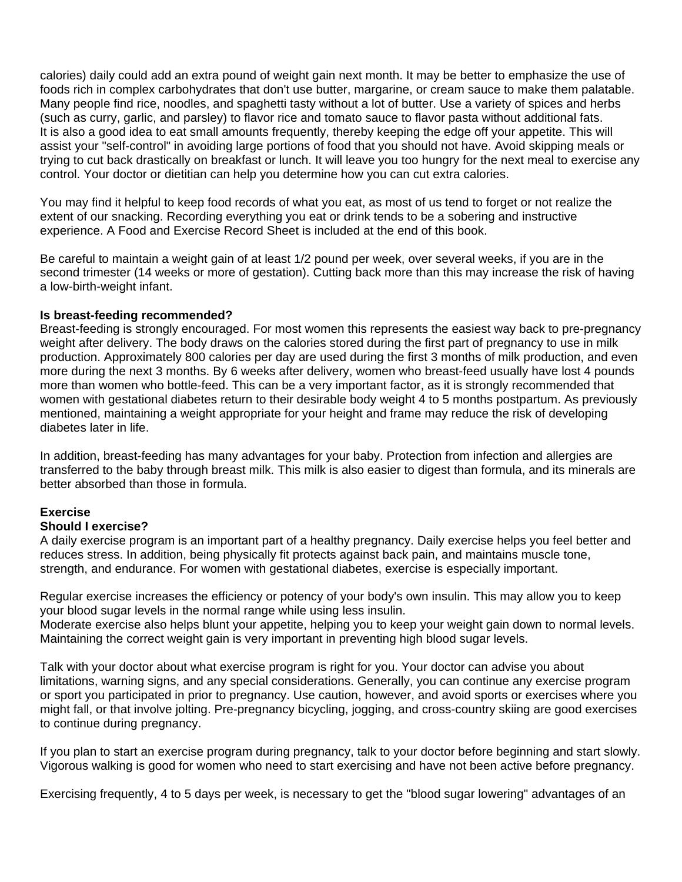calories) daily could add an extra pound of weight gain next month. It may be better to emphasize the use of foods rich in complex carbohydrates that don't use butter, margarine, or cream sauce to make them palatable. Many people find rice, noodles, and spaghetti tasty without a lot of butter. Use a variety of spices and herbs (such as curry, garlic, and parsley) to flavor rice and tomato sauce to flavor pasta without additional fats. It is also a good idea to eat small amounts frequently, thereby keeping the edge off your appetite. This will assist your "self-control" in avoiding large portions of food that you should not have. Avoid skipping meals or trying to cut back drastically on breakfast or lunch. It will leave you too hungry for the next meal to exercise any control. Your doctor or dietitian can help you determine how you can cut extra calories.

You may find it helpful to keep food records of what you eat, as most of us tend to forget or not realize the extent of our snacking. Recording everything you eat or drink tends to be a sobering and instructive experience. A Food and Exercise Record Sheet is included at the end of this book.

Be careful to maintain a weight gain of at least 1/2 pound per week, over several weeks, if you are in the second trimester (14 weeks or more of gestation). Cutting back more than this may increase the risk of having a low-birth-weight infant.

#### **Is breast-feeding recommended?**

Breast-feeding is strongly encouraged. For most women this represents the easiest way back to pre-pregnancy weight after delivery. The body draws on the calories stored during the first part of pregnancy to use in milk production. Approximately 800 calories per day are used during the first 3 months of milk production, and even more during the next 3 months. By 6 weeks after delivery, women who breast-feed usually have lost 4 pounds more than women who bottle-feed. This can be a very important factor, as it is strongly recommended that women with gestational diabetes return to their desirable body weight 4 to 5 months postpartum. As previously mentioned, maintaining a weight appropriate for your height and frame may reduce the risk of developing diabetes later in life.

In addition, breast-feeding has many advantages for your baby. Protection from infection and allergies are transferred to the baby through breast milk. This milk is also easier to digest than formula, and its minerals are better absorbed than those in formula.

#### **Exercise**

#### **Should I exercise?**

A daily exercise program is an important part of a healthy pregnancy. Daily exercise helps you feel better and reduces stress. In addition, being physically fit protects against back pain, and maintains muscle tone, strength, and endurance. For women with gestational diabetes, exercise is especially important.

Regular exercise increases the efficiency or potency of your body's own insulin. This may allow you to keep your blood sugar levels in the normal range while using less insulin.

Moderate exercise also helps blunt your appetite, helping you to keep your weight gain down to normal levels. Maintaining the correct weight gain is very important in preventing high blood sugar levels.

Talk with your doctor about what exercise program is right for you. Your doctor can advise you about limitations, warning signs, and any special considerations. Generally, you can continue any exercise program or sport you participated in prior to pregnancy. Use caution, however, and avoid sports or exercises where you might fall, or that involve jolting. Pre-pregnancy bicycling, jogging, and cross-country skiing are good exercises to continue during pregnancy.

If you plan to start an exercise program during pregnancy, talk to your doctor before beginning and start slowly. Vigorous walking is good for women who need to start exercising and have not been active before pregnancy.

Exercising frequently, 4 to 5 days per week, is necessary to get the "blood sugar lowering" advantages of an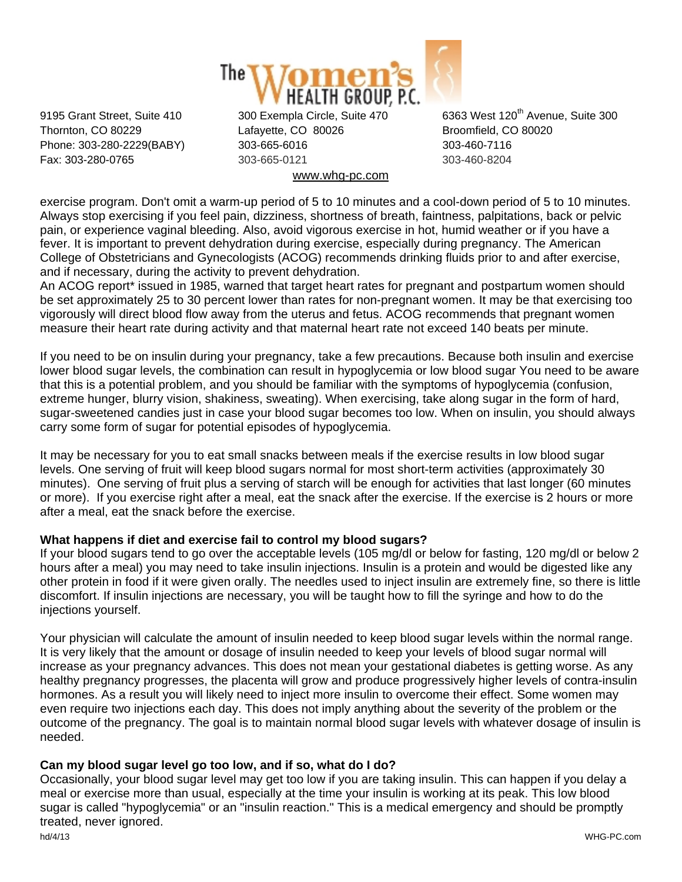

9195 Grant Street, Suite 410 300 Exempla Circle, Suite 470 6363 West 120<sup>th</sup> Avenue, Suite 300

exercise program. Don't omit a warm-up period of 5 to 10 minutes and a cool-down period of 5 to 10 minutes. Always stop exercising if you feel pain, dizziness, shortness of breath, faintness, palpitations, back or pelvic pain, or experience vaginal bleeding. Also, avoid vigorous exercise in hot, humid weather or if you have a fever. It is important to prevent dehydration during exercise, especially during pregnancy. The American College of Obstetricians and Gynecologists (ACOG) recommends drinking fluids prior to and after exercise, and if necessary, during the activity to prevent dehydration.

An ACOG report\* issued in 1985, warned that target heart rates for pregnant and postpartum women should be set approximately 25 to 30 percent lower than rates for non-pregnant women. It may be that exercising too vigorously will direct blood flow away from the uterus and fetus. ACOG recommends that pregnant women measure their heart rate during activity and that maternal heart rate not exceed 140 beats per minute.

If you need to be on insulin during your pregnancy, take a few precautions. Because both insulin and exercise lower blood sugar levels, the combination can result in hypoglycemia or low blood sugar You need to be aware that this is a potential problem, and you should be familiar with the symptoms of hypoglycemia (confusion, extreme hunger, blurry vision, shakiness, sweating). When exercising, take along sugar in the form of hard, sugar-sweetened candies just in case your blood sugar becomes too low. When on insulin, you should always carry some form of sugar for potential episodes of hypoglycemia.

It may be necessary for you to eat small snacks between meals if the exercise results in low blood sugar levels. One serving of fruit will keep blood sugars normal for most short-term activities (approximately 30 minutes). One serving of fruit plus a serving of starch will be enough for activities that last longer (60 minutes or more). If you exercise right after a meal, eat the snack after the exercise. If the exercise is 2 hours or more after a meal, eat the snack before the exercise.

#### **What happens if diet and exercise fail to control my blood sugars?**

If your blood sugars tend to go over the acceptable levels (105 mg/dl or below for fasting, 120 mg/dl or below 2 hours after a meal) you may need to take insulin injections. Insulin is a protein and would be digested like any other protein in food if it were given orally. The needles used to inject insulin are extremely fine, so there is little discomfort. If insulin injections are necessary, you will be taught how to fill the syringe and how to do the injections yourself.

Your physician will calculate the amount of insulin needed to keep blood sugar levels within the normal range. It is very likely that the amount or dosage of insulin needed to keep your levels of blood sugar normal will increase as your pregnancy advances. This does not mean your gestational diabetes is getting worse. As any healthy pregnancy progresses, the placenta will grow and produce progressively higher levels of contra-insulin hormones. As a result you will likely need to inject more insulin to overcome their effect. Some women may even require two injections each day. This does not imply anything about the severity of the problem or the outcome of the pregnancy. The goal is to maintain normal blood sugar levels with whatever dosage of insulin is needed.

#### **Can my blood sugar level go too low, and if so, what do I do?**

Occasionally, your blood sugar level may get too low if you are taking insulin. This can happen if you delay a meal or exercise more than usual, especially at the time your insulin is working at its peak. This low blood sugar is called "hypoglycemia" or an "insulin reaction." This is a medical emergency and should be promptly treated, never ignored.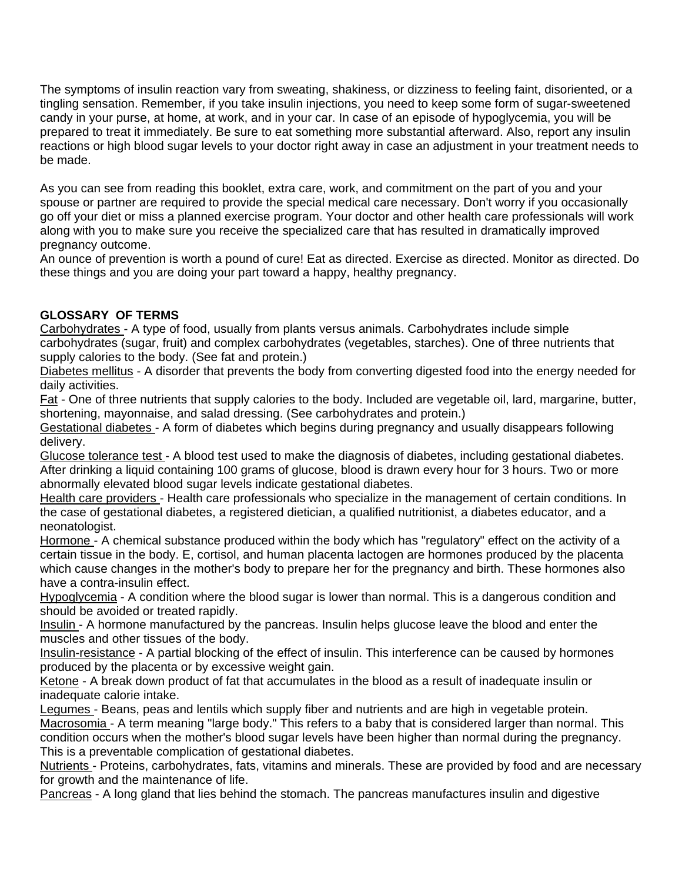The symptoms of insulin reaction vary from sweating, shakiness, or dizziness to feeling faint, disoriented, or a tingling sensation. Remember, if you take insulin injections, you need to keep some form of sugar-sweetened candy in your purse, at home, at work, and in your car. In case of an episode of hypoglycemia, you will be prepared to treat it immediately. Be sure to eat something more substantial afterward. Also, report any insulin reactions or high blood sugar levels to your doctor right away in case an adjustment in your treatment needs to be made.

As you can see from reading this booklet, extra care, work, and commitment on the part of you and your spouse or partner are required to provide the special medical care necessary. Don't worry if you occasionally go off your diet or miss a planned exercise program. Your doctor and other health care professionals will work along with you to make sure you receive the specialized care that has resulted in dramatically improved pregnancy outcome.

An ounce of prevention is worth a pound of cure! Eat as directed. Exercise as directed. Monitor as directed. Do these things and you are doing your part toward a happy, healthy pregnancy.

### **GLOSSARY OF TERMS**

Carbohydrates - A type of food, usually from plants versus animals. Carbohydrates include simple carbohydrates (sugar, fruit) and complex carbohydrates (vegetables, starches). One of three nutrients that supply calories to the body. (See fat and protein.)

Diabetes mellitus - A disorder that prevents the body from converting digested food into the energy needed for daily activities.

Fat - One of three nutrients that supply calories to the body. Included are vegetable oil, lard, margarine, butter, shortening, mayonnaise, and salad dressing. (See carbohydrates and protein.)

Gestational diabetes - A form of diabetes which begins during pregnancy and usually disappears following delivery.

Glucose tolerance test - A blood test used to make the diagnosis of diabetes, including gestational diabetes. After drinking a liquid containing 100 grams of glucose, blood is drawn every hour for 3 hours. Two or more abnormally elevated blood sugar levels indicate gestational diabetes.

Health care providers - Health care professionals who specialize in the management of certain conditions. In the case of gestational diabetes, a registered dietician, a qualified nutritionist, a diabetes educator, and a neonatologist.

Hormone - A chemical substance produced within the body which has "regulatory" effect on the activity of a certain tissue in the body. E, cortisol, and human placenta lactogen are hormones produced by the placenta which cause changes in the mother's body to prepare her for the pregnancy and birth. These hormones also have a contra-insulin effect.

Hypoglycemia - A condition where the blood sugar is lower than normal. This is a dangerous condition and should be avoided or treated rapidly.

Insulin - A hormone manufactured by the pancreas. Insulin helps glucose leave the blood and enter the muscles and other tissues of the body.

Insulin-resistance - A partial blocking of the effect of insulin. This interference can be caused by hormones produced by the placenta or by excessive weight gain.

Ketone - A break down product of fat that accumulates in the blood as a result of inadequate insulin or inadequate calorie intake.

Legumes - Beans, peas and lentils which supply fiber and nutrients and are high in vegetable protein. Macrosomia - A term meaning "large body." This refers to a baby that is considered larger than normal. This condition occurs when the mother's blood sugar levels have been higher than normal during the pregnancy. This is a preventable complication of gestational diabetes.

Nutrients - Proteins, carbohydrates, fats, vitamins and minerals. These are provided by food and are necessary for growth and the maintenance of life.

Pancreas - A long gland that lies behind the stomach. The pancreas manufactures insulin and digestive